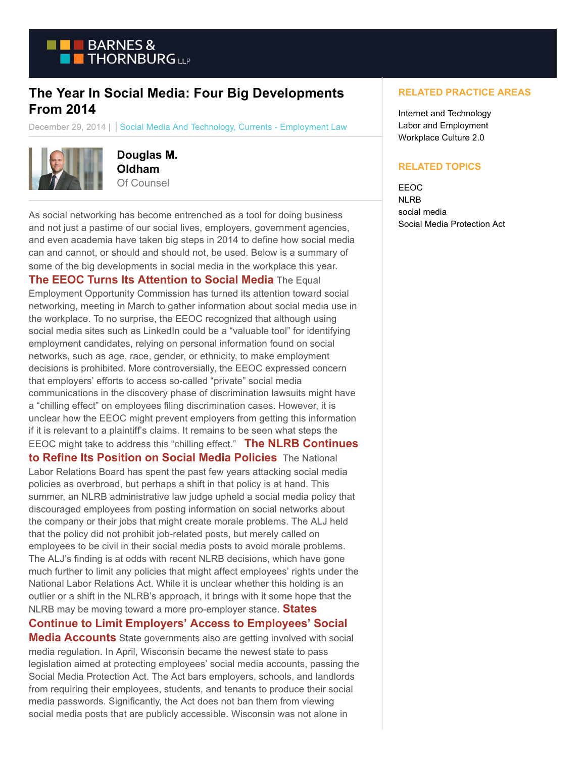

# **The Year In Social Media: Four Big Developments From 2014**

December 29, 2014 | Social Media And Technology, Currents - Employment Law



**Douglas M. Oldham** Of Counsel

As social networking has become entrenched as a tool for doing business and not just a pastime of our social lives, employers, government agencies, and even academia have taken big steps in 2014 to define how social media can and cannot, or should and should not, be used. Below is a summary of some of the big developments in social media in the workplace this year.

## **[The EEOC Turns Its Attention to Social Media](https://www.btcurrentsemployment.com/eeoc-turns-its-focus-to-the-impact-of-social-media-in-employment-litigation/)** The Equal

Employment Opportunity Commission has turned its attention toward social networking, meeting in March to gather information about social media use in the workplace. To no surprise, the EEOC recognized that although using social media sites such as LinkedIn could be a "valuable tool" for identifying employment candidates, relying on personal information found on social networks, such as age, race, gender, or ethnicity, to make employment decisions is prohibited. More controversially, the EEOC expressed concern that employers' efforts to access so-called "private" social media communications in the discovery phase of discrimination lawsuits might have a "chilling effect" on employees filing discrimination cases. However, it is unclear how the EEOC might prevent employers from getting this information if it is relevant to a plaintiff's claims. It remains to be seen what steps the EEOC might take to address this "chilling effect." **[The NLRB Continues](https://www.btcurrentsemployment.com/outlieror-nlrb-shift-on-social-media-policies/)**

**to Refine Its Position on Social Media Policies** The National Labor Relations Board has spent the past few years attacking social media policies as overbroad, but perhaps a shift in that policy is at hand. This summer, an NLRB administrative law judge upheld a social media policy that discouraged employees from posting information on social networks about the company or their jobs that might create morale problems. The ALJ held that the policy did not prohibit job-related posts, but merely called on employees to be civil in their social media posts to avoid morale problems. The ALJ's finding is at odds with recent NLRB decisions, which have gone much further to limit any policies that might affect employees' rights under the National Labor Relations Act. While it is unclear whether this holding is an outlier or a shift in the NLRB's approach, it brings with it some hope that the NLRB may be moving toward a more pro-employer stance. **[States](https://www.btcurrentsemployment.com/wisconsin-likely-to-limit-access-to-social-media-accounts-02-21-2014/)**

### **Continue to Limit Employers' Access to Employees' Social**

**Media Accounts** State governments also are getting involved with social media regulation. In April, Wisconsin became the newest state to pass legislation aimed at protecting employees' social media accounts, passing the Social Media Protection Act. The Act bars employers, schools, and landlords from requiring their employees, students, and tenants to produce their social media passwords. Significantly, the Act does not ban them from viewing social media posts that are publicly accessible. Wisconsin was not alone in

#### **RELATED PRACTICE AREAS**

Internet and Technology Labor and Employment Workplace Culture 2.0

#### **RELATED TOPICS**

EEOC NLRB social media Social Media Protection Act